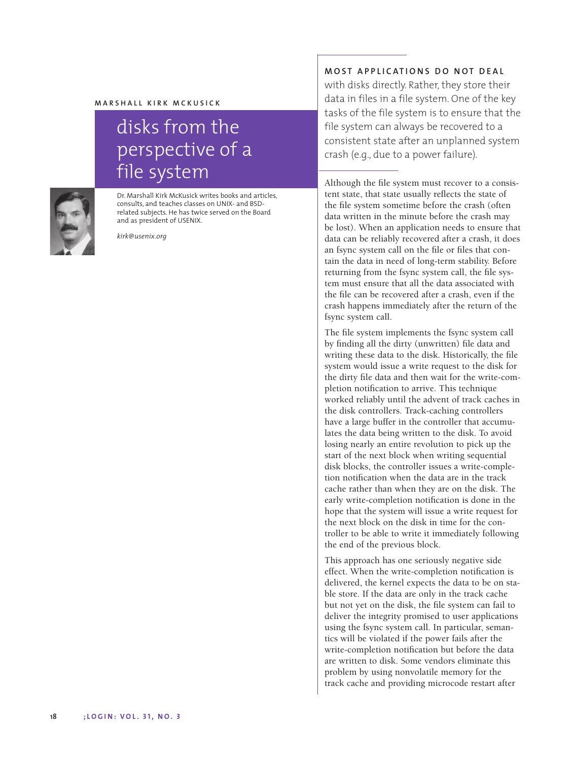## **MARSHALL KIRK MCKUSICK**

## disks from the perspective of a file system



Dr. Marshall Kirk McKusick writes books and articles, consults, and teaches classes on UNIX- and BSDrelated subjects. He has twice served on the Board and as president of USENIX.

*kirk@usenix.org*

## **MOST APPLICATIONS DO NOT DEAL**

with disks directly. Rather, they store their data in files in a file system. One of the key tasks of the file system is to ensure that the file system can always be recovered to a consistent state after an unplanned system crash (e.g., due to a power failure).

Although the file system must recover to a consistent state, that state usually reflects the state of the file system sometime before the crash (often data written in the minute before the crash may be lost). When an application needs to ensure that data can be reliably recovered after a crash, it does an fsync system call on the file or files that contain the data in need of long-term stability. Before returning from the fsync system call, the file system must ensure that all the data associated with the file can be recovered after a crash, even if the crash happens immediately after the return of the fsync system call.

The file system implements the fsync system call by finding all the dirty (unwritten) file data and writing these data to the disk. Historically, the file system would issue a write request to the disk for the dirty file data and then wait for the write-completion notification to arrive. This technique worked reliably until the advent of track caches in the disk controllers. Track-caching controllers have a large buffer in the controller that accumulates the data being written to the disk. To avoid losing nearly an entire revolution to pick up the start of the next block when writing sequential disk blocks, the controller issues a write-completion notification when the data are in the track cache rather than when they are on the disk. The early write-completion notification is done in the hope that the system will issue a write request for the next block on the disk in time for the controller to be able to write it immediately following the end of the previous block.

This approach has one seriously negative side effect. When the write-completion notification is delivered, the kernel expects the data to be on stable store. If the data are only in the track cache but not yet on the disk, the file system can fail to deliver the integrity promised to user applications using the fsync system call. In particular, semantics will be violated if the power fails after the write-completion notification but before the data are written to disk. Some vendors eliminate this problem by using nonvolatile memory for the track cache and providing microcode restart after